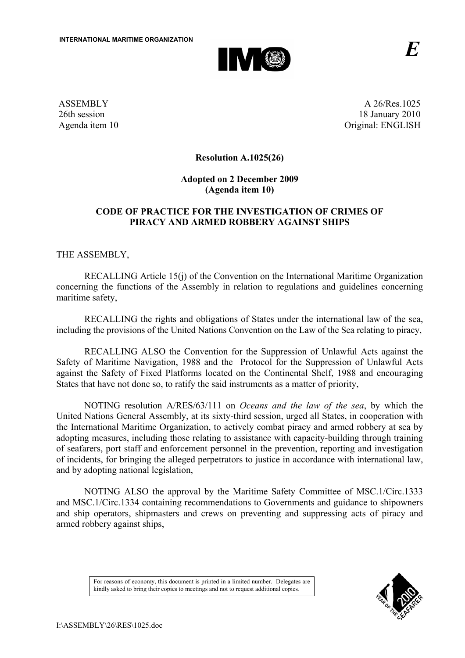

ASSEMBLY 26th session Agenda item 10

A 26/Res.1025 18 January 2010 Original: ENGLISH

**Resolution A.1025(26)** 

## **Adopted on 2 December 2009 (Agenda item 10)**

# **CODE OF PRACTICE FOR THE INVESTIGATION OF CRIMES OF PIRACY AND ARMED ROBBERY AGAINST SHIPS**

THE ASSEMBLY,

RECALLING Article 15(j) of the Convention on the International Maritime Organization concerning the functions of the Assembly in relation to regulations and guidelines concerning maritime safety,

RECALLING the rights and obligations of States under the international law of the sea, including the provisions of the United Nations Convention on the Law of the Sea relating to piracy,

RECALLING ALSO the Convention for the Suppression of Unlawful Acts against the Safety of Maritime Navigation, 1988 and the Protocol for the Suppression of Unlawful Acts against the Safety of Fixed Platforms located on the Continental Shelf, 1988 and encouraging States that have not done so, to ratify the said instruments as a matter of priority,

NOTING resolution A/RES/63/111 on *Oceans and the law of the sea*, by which the United Nations General Assembly, at its sixty-third session, urged all States, in cooperation with the International Maritime Organization, to actively combat piracy and armed robbery at sea by adopting measures, including those relating to assistance with capacity-building through training of seafarers, port staff and enforcement personnel in the prevention, reporting and investigation of incidents, for bringing the alleged perpetrators to justice in accordance with international law, and by adopting national legislation,

NOTING ALSO the approval by the Maritime Safety Committee of MSC.1/Circ.1333 and MSC.1/Circ.1334 containing recommendations to Governments and guidance to shipowners and ship operators, shipmasters and crews on preventing and suppressing acts of piracy and armed robbery against ships,

For reasons of economy, this document is printed in a limited number. Delegates are kindly asked to bring their copies to meetings and not to request additional copies.

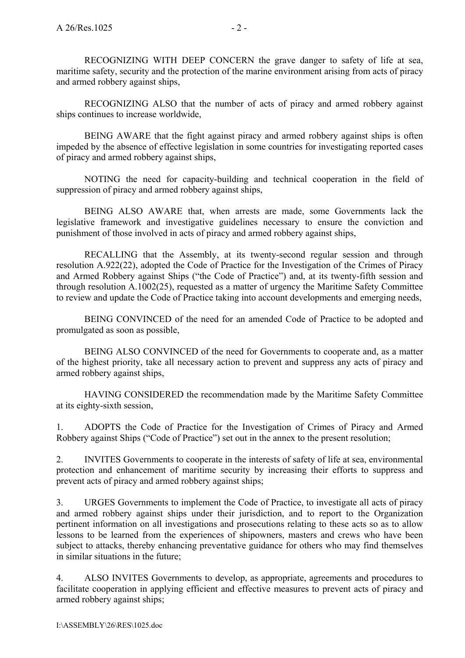RECOGNIZING WITH DEEP CONCERN the grave danger to safety of life at sea, maritime safety, security and the protection of the marine environment arising from acts of piracy and armed robbery against ships,

RECOGNIZING ALSO that the number of acts of piracy and armed robbery against ships continues to increase worldwide,

BEING AWARE that the fight against piracy and armed robbery against ships is often impeded by the absence of effective legislation in some countries for investigating reported cases of piracy and armed robbery against ships,

NOTING the need for capacity-building and technical cooperation in the field of suppression of piracy and armed robbery against ships,

BEING ALSO AWARE that, when arrests are made, some Governments lack the legislative framework and investigative guidelines necessary to ensure the conviction and punishment of those involved in acts of piracy and armed robbery against ships,

 RECALLING that the Assembly, at its twenty-second regular session and through resolution A.922(22), adopted the Code of Practice for the Investigation of the Crimes of Piracy and Armed Robbery against Ships ("the Code of Practice") and, at its twenty-fifth session and through resolution A.1002(25), requested as a matter of urgency the Maritime Safety Committee to review and update the Code of Practice taking into account developments and emerging needs,

BEING CONVINCED of the need for an amended Code of Practice to be adopted and promulgated as soon as possible,

BEING ALSO CONVINCED of the need for Governments to cooperate and, as a matter of the highest priority, take all necessary action to prevent and suppress any acts of piracy and armed robbery against ships,

 HAVING CONSIDERED the recommendation made by the Maritime Safety Committee at its eighty-sixth session,

1. ADOPTS the Code of Practice for the Investigation of Crimes of Piracy and Armed Robbery against Ships ("Code of Practice") set out in the annex to the present resolution;

2. INVITES Governments to cooperate in the interests of safety of life at sea, environmental protection and enhancement of maritime security by increasing their efforts to suppress and prevent acts of piracy and armed robbery against ships;

3. URGES Governments to implement the Code of Practice, to investigate all acts of piracy and armed robbery against ships under their jurisdiction, and to report to the Organization pertinent information on all investigations and prosecutions relating to these acts so as to allow lessons to be learned from the experiences of shipowners, masters and crews who have been subject to attacks, thereby enhancing preventative guidance for others who may find themselves in similar situations in the future;

4. ALSO INVITES Governments to develop, as appropriate, agreements and procedures to facilitate cooperation in applying efficient and effective measures to prevent acts of piracy and armed robbery against ships;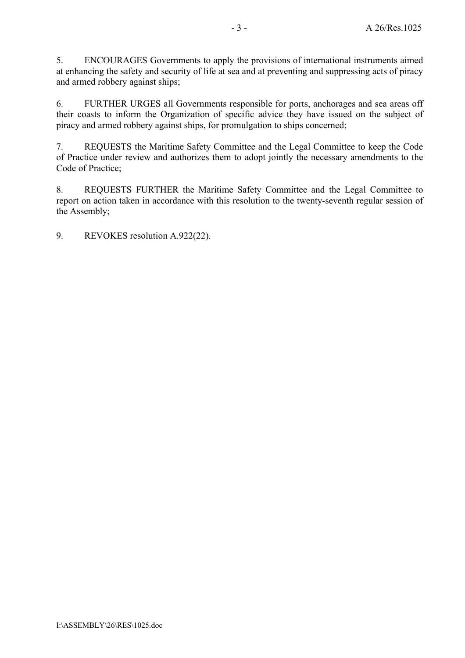5. ENCOURAGES Governments to apply the provisions of international instruments aimed at enhancing the safety and security of life at sea and at preventing and suppressing acts of piracy and armed robbery against ships;

6. FURTHER URGES all Governments responsible for ports, anchorages and sea areas off their coasts to inform the Organization of specific advice they have issued on the subject of piracy and armed robbery against ships, for promulgation to ships concerned;

7. REQUESTS the Maritime Safety Committee and the Legal Committee to keep the Code of Practice under review and authorizes them to adopt jointly the necessary amendments to the Code of Practice;

8. REQUESTS FURTHER the Maritime Safety Committee and the Legal Committee to report on action taken in accordance with this resolution to the twenty-seventh regular session of the Assembly;

9. REVOKES resolution A.922(22).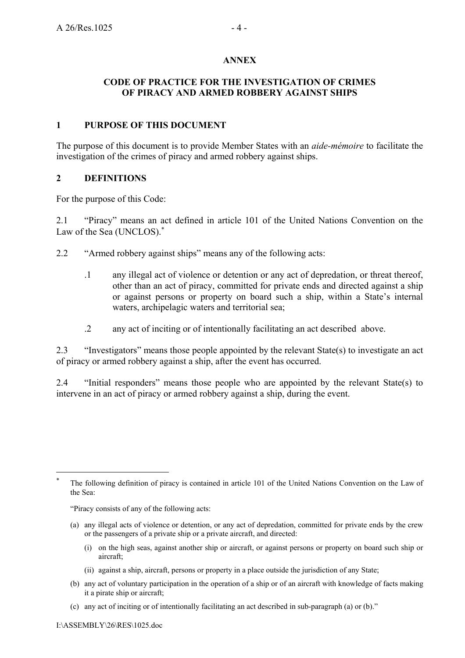#### **ANNEX**

## **CODE OF PRACTICE FOR THE INVESTIGATION OF CRIMES OF PIRACY AND ARMED ROBBERY AGAINST SHIPS**

## **1 PURPOSE OF THIS DOCUMENT**

The purpose of this document is to provide Member States with an *aide-mémoire* to facilitate the investigation of the crimes of piracy and armed robbery against ships.

### **2 DEFINITIONS**

For the purpose of this Code:

2.1 "Piracy" means an act defined in article 101 of the United Nations Convention on the Law of the Sea (UNCLOS).<sup>\*</sup>

2.2 "Armed robbery against ships" means any of the following acts:

- .1 any illegal act of violence or detention or any act of depredation, or threat thereof, other than an act of piracy, committed for private ends and directed against a ship or against persons or property on board such a ship, within a State's internal waters, archipelagic waters and territorial sea;
- .2 any act of inciting or of intentionally facilitating an act described above.

2.3 "Investigators" means those people appointed by the relevant State(s) to investigate an act of piracy or armed robbery against a ship, after the event has occurred.

2.4 "Initial responders" means those people who are appointed by the relevant State(s) to intervene in an act of piracy or armed robbery against a ship, during the event.

"Piracy consists of any of the following acts:

- (a) any illegal acts of violence or detention, or any act of depredation, committed for private ends by the crew or the passengers of a private ship or a private aircraft, and directed:
	- (i) on the high seas, against another ship or aircraft, or against persons or property on board such ship or aircraft;
	- (ii) against a ship, aircraft, persons or property in a place outside the jurisdiction of any State;
- (b) any act of voluntary participation in the operation of a ship or of an aircraft with knowledge of facts making it a pirate ship or aircraft;
- (c) any act of inciting or of intentionally facilitating an act described in sub-paragraph (a) or (b)."

 $\overline{a}$ 

The following definition of piracy is contained in article 101 of the United Nations Convention on the Law of the Sea: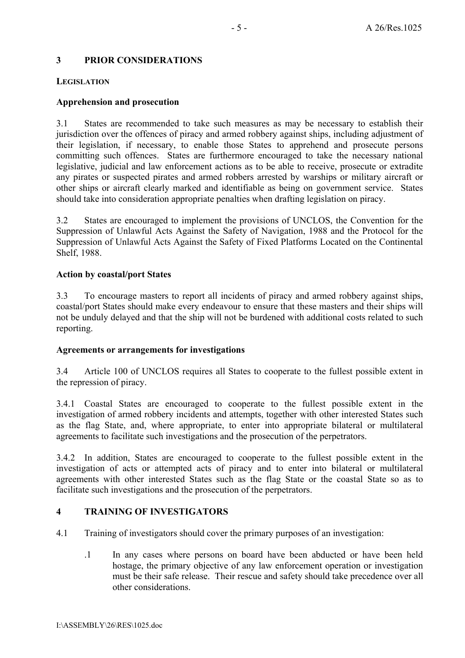## **3 PRIOR CONSIDERATIONS**

#### **LEGISLATION**

### **Apprehension and prosecution**

3.1 States are recommended to take such measures as may be necessary to establish their jurisdiction over the offences of piracy and armed robbery against ships, including adjustment of their legislation, if necessary, to enable those States to apprehend and prosecute persons committing such offences. States are furthermore encouraged to take the necessary national legislative, judicial and law enforcement actions as to be able to receive, prosecute or extradite any pirates or suspected pirates and armed robbers arrested by warships or military aircraft or other ships or aircraft clearly marked and identifiable as being on government service. States should take into consideration appropriate penalties when drafting legislation on piracy.

3.2 States are encouraged to implement the provisions of UNCLOS, the Convention for the Suppression of Unlawful Acts Against the Safety of Navigation, 1988 and the Protocol for the Suppression of Unlawful Acts Against the Safety of Fixed Platforms Located on the Continental Shelf, 1988.

#### **Action by coastal/port States**

3.3 To encourage masters to report all incidents of piracy and armed robbery against ships, coastal/port States should make every endeavour to ensure that these masters and their ships will not be unduly delayed and that the ship will not be burdened with additional costs related to such reporting.

### **Agreements or arrangements for investigations**

3.4 Article 100 of UNCLOS requires all States to cooperate to the fullest possible extent in the repression of piracy.

3.4.1 Coastal States are encouraged to cooperate to the fullest possible extent in the investigation of armed robbery incidents and attempts, together with other interested States such as the flag State, and, where appropriate, to enter into appropriate bilateral or multilateral agreements to facilitate such investigations and the prosecution of the perpetrators.

3.4.2 In addition, States are encouraged to cooperate to the fullest possible extent in the investigation of acts or attempted acts of piracy and to enter into bilateral or multilateral agreements with other interested States such as the flag State or the coastal State so as to facilitate such investigations and the prosecution of the perpetrators.

### **4 TRAINING OF INVESTIGATORS**

- 4.1 Training of investigators should cover the primary purposes of an investigation:
	- .1 In any cases where persons on board have been abducted or have been held hostage, the primary objective of any law enforcement operation or investigation must be their safe release. Their rescue and safety should take precedence over all other considerations.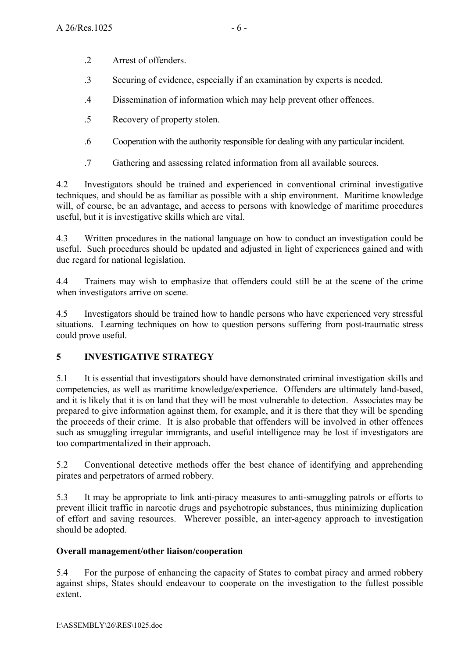- .2 Arrest of offenders.
- .3 Securing of evidence, especially if an examination by experts is needed.
- .4 Dissemination of information which may help prevent other offences.
- .5 Recovery of property stolen.
- .6 Cooperation with the authority responsible for dealing with any particular incident.
- .7 Gathering and assessing related information from all available sources.

4.2 Investigators should be trained and experienced in conventional criminal investigative techniques, and should be as familiar as possible with a ship environment. Maritime knowledge will, of course, be an advantage, and access to persons with knowledge of maritime procedures useful, but it is investigative skills which are vital.

4.3 Written procedures in the national language on how to conduct an investigation could be useful. Such procedures should be updated and adjusted in light of experiences gained and with due regard for national legislation.

4.4 Trainers may wish to emphasize that offenders could still be at the scene of the crime when investigators arrive on scene.

4.5 Investigators should be trained how to handle persons who have experienced very stressful situations. Learning techniques on how to question persons suffering from post-traumatic stress could prove useful.

# **5 INVESTIGATIVE STRATEGY**

5.1 It is essential that investigators should have demonstrated criminal investigation skills and competencies, as well as maritime knowledge/experience. Offenders are ultimately land-based, and it is likely that it is on land that they will be most vulnerable to detection. Associates may be prepared to give information against them, for example, and it is there that they will be spending the proceeds of their crime. It is also probable that offenders will be involved in other offences such as smuggling irregular immigrants, and useful intelligence may be lost if investigators are too compartmentalized in their approach.

5.2 Conventional detective methods offer the best chance of identifying and apprehending pirates and perpetrators of armed robbery.

5.3 It may be appropriate to link anti-piracy measures to anti-smuggling patrols or efforts to prevent illicit traffic in narcotic drugs and psychotropic substances, thus minimizing duplication of effort and saving resources. Wherever possible, an inter-agency approach to investigation should be adopted.

## **Overall management/other liaison/cooperation**

5.4 For the purpose of enhancing the capacity of States to combat piracy and armed robbery against ships, States should endeavour to cooperate on the investigation to the fullest possible extent.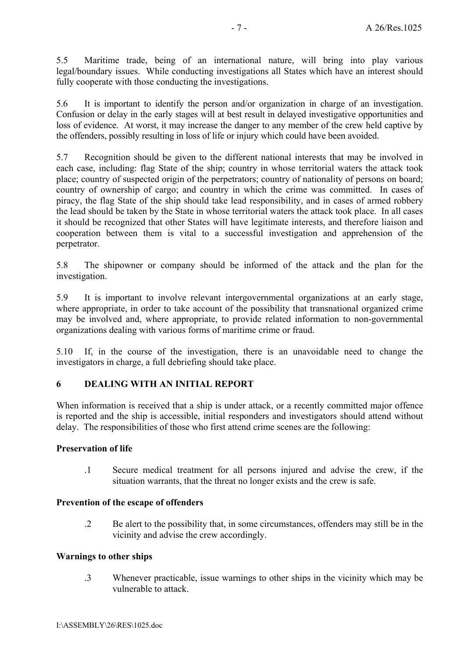5.5 Maritime trade, being of an international nature, will bring into play various legal/boundary issues. While conducting investigations all States which have an interest should fully cooperate with those conducting the investigations.

5.6 It is important to identify the person and/or organization in charge of an investigation. Confusion or delay in the early stages will at best result in delayed investigative opportunities and loss of evidence. At worst, it may increase the danger to any member of the crew held captive by the offenders, possibly resulting in loss of life or injury which could have been avoided.

5.7 Recognition should be given to the different national interests that may be involved in each case, including: flag State of the ship; country in whose territorial waters the attack took place; country of suspected origin of the perpetrators; country of nationality of persons on board; country of ownership of cargo; and country in which the crime was committed. In cases of piracy, the flag State of the ship should take lead responsibility, and in cases of armed robbery the lead should be taken by the State in whose territorial waters the attack took place. In all cases it should be recognized that other States will have legitimate interests, and therefore liaison and cooperation between them is vital to a successful investigation and apprehension of the perpetrator.

5.8 The shipowner or company should be informed of the attack and the plan for the investigation.

5.9 It is important to involve relevant intergovernmental organizations at an early stage, where appropriate, in order to take account of the possibility that transnational organized crime may be involved and, where appropriate, to provide related information to non-governmental organizations dealing with various forms of maritime crime or fraud.

5.10 If, in the course of the investigation, there is an unavoidable need to change the investigators in charge, a full debriefing should take place.

### **6 DEALING WITH AN INITIAL REPORT**

When information is received that a ship is under attack, or a recently committed major offence is reported and the ship is accessible, initial responders and investigators should attend without delay. The responsibilities of those who first attend crime scenes are the following:

## **Preservation of life**

.1 Secure medical treatment for all persons injured and advise the crew, if the situation warrants, that the threat no longer exists and the crew is safe.

#### **Prevention of the escape of offenders**

.2 Be alert to the possibility that, in some circumstances, offenders may still be in the vicinity and advise the crew accordingly.

#### **Warnings to other ships**

.3 Whenever practicable, issue warnings to other ships in the vicinity which may be vulnerable to attack.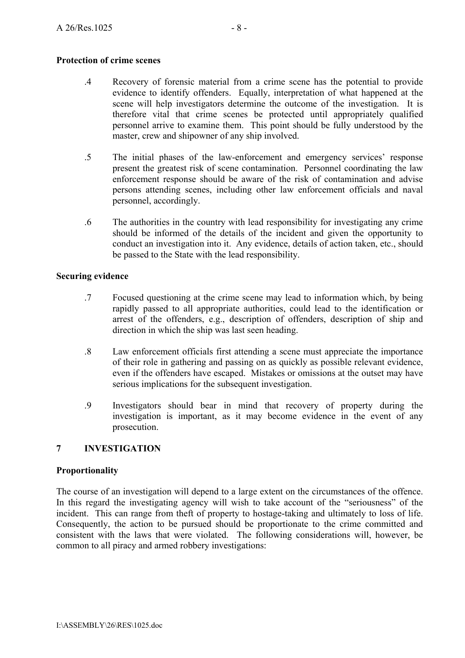## **Protection of crime scenes**

- .4 Recovery of forensic material from a crime scene has the potential to provide evidence to identify offenders. Equally, interpretation of what happened at the scene will help investigators determine the outcome of the investigation. It is therefore vital that crime scenes be protected until appropriately qualified personnel arrive to examine them. This point should be fully understood by the master, crew and shipowner of any ship involved.
- .5 The initial phases of the law-enforcement and emergency services' response present the greatest risk of scene contamination. Personnel coordinating the law enforcement response should be aware of the risk of contamination and advise persons attending scenes, including other law enforcement officials and naval personnel, accordingly.
- .6 The authorities in the country with lead responsibility for investigating any crime should be informed of the details of the incident and given the opportunity to conduct an investigation into it. Any evidence, details of action taken, etc., should be passed to the State with the lead responsibility.

## **Securing evidence**

- .7 Focused questioning at the crime scene may lead to information which, by being rapidly passed to all appropriate authorities, could lead to the identification or arrest of the offenders, e.g., description of offenders, description of ship and direction in which the ship was last seen heading.
- .8 Law enforcement officials first attending a scene must appreciate the importance of their role in gathering and passing on as quickly as possible relevant evidence, even if the offenders have escaped. Mistakes or omissions at the outset may have serious implications for the subsequent investigation.
- .9 Investigators should bear in mind that recovery of property during the investigation is important, as it may become evidence in the event of any prosecution.

## **7 INVESTIGATION**

## **Proportionality**

The course of an investigation will depend to a large extent on the circumstances of the offence. In this regard the investigating agency will wish to take account of the "seriousness" of the incident. This can range from theft of property to hostage-taking and ultimately to loss of life. Consequently, the action to be pursued should be proportionate to the crime committed and consistent with the laws that were violated. The following considerations will, however, be common to all piracy and armed robbery investigations: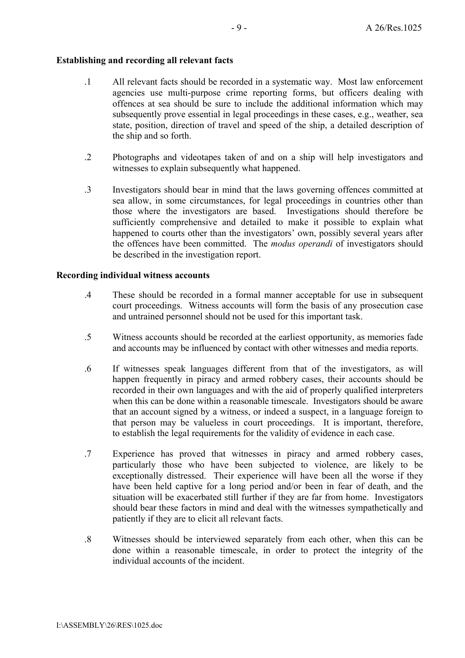# **Establishing and recording all relevant facts**

- .1 All relevant facts should be recorded in a systematic way. Most law enforcement agencies use multi-purpose crime reporting forms, but officers dealing with offences at sea should be sure to include the additional information which may subsequently prove essential in legal proceedings in these cases, e.g., weather, sea state, position, direction of travel and speed of the ship, a detailed description of the ship and so forth.
- .2 Photographs and videotapes taken of and on a ship will help investigators and witnesses to explain subsequently what happened.
- .3 Investigators should bear in mind that the laws governing offences committed at sea allow, in some circumstances, for legal proceedings in countries other than those where the investigators are based. Investigations should therefore be sufficiently comprehensive and detailed to make it possible to explain what happened to courts other than the investigators' own, possibly several years after the offences have been committed. The *modus operandi* of investigators should be described in the investigation report.

# **Recording individual witness accounts**

- .4 These should be recorded in a formal manner acceptable for use in subsequent court proceedings. Witness accounts will form the basis of any prosecution case and untrained personnel should not be used for this important task.
- .5 Witness accounts should be recorded at the earliest opportunity, as memories fade and accounts may be influenced by contact with other witnesses and media reports.
- .6 If witnesses speak languages different from that of the investigators, as will happen frequently in piracy and armed robbery cases, their accounts should be recorded in their own languages and with the aid of properly qualified interpreters when this can be done within a reasonable timescale. Investigators should be aware that an account signed by a witness, or indeed a suspect, in a language foreign to that person may be valueless in court proceedings. It is important, therefore, to establish the legal requirements for the validity of evidence in each case.
- .7 Experience has proved that witnesses in piracy and armed robbery cases, particularly those who have been subjected to violence, are likely to be exceptionally distressed. Their experience will have been all the worse if they have been held captive for a long period and/or been in fear of death, and the situation will be exacerbated still further if they are far from home. Investigators should bear these factors in mind and deal with the witnesses sympathetically and patiently if they are to elicit all relevant facts.
- .8 Witnesses should be interviewed separately from each other, when this can be done within a reasonable timescale, in order to protect the integrity of the individual accounts of the incident.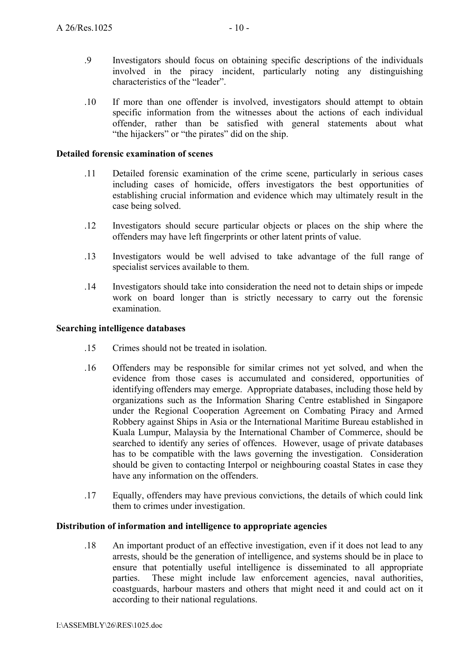- .9 Investigators should focus on obtaining specific descriptions of the individuals involved in the piracy incident, particularly noting any distinguishing characteristics of the "leader".
- .10 If more than one offender is involved, investigators should attempt to obtain specific information from the witnesses about the actions of each individual offender, rather than be satisfied with general statements about what "the hijackers" or "the pirates" did on the ship.

#### **Detailed forensic examination of scenes**

- .11 Detailed forensic examination of the crime scene, particularly in serious cases including cases of homicide, offers investigators the best opportunities of establishing crucial information and evidence which may ultimately result in the case being solved.
- .12 Investigators should secure particular objects or places on the ship where the offenders may have left fingerprints or other latent prints of value.
- .13 Investigators would be well advised to take advantage of the full range of specialist services available to them.
- .14 Investigators should take into consideration the need not to detain ships or impede work on board longer than is strictly necessary to carry out the forensic examination.

### **Searching intelligence databases**

- .15 Crimes should not be treated in isolation.
- .16 Offenders may be responsible for similar crimes not yet solved, and when the evidence from those cases is accumulated and considered, opportunities of identifying offenders may emerge. Appropriate databases, including those held by organizations such as the Information Sharing Centre established in Singapore under the Regional Cooperation Agreement on Combating Piracy and Armed Robbery against Ships in Asia or the International Maritime Bureau established in Kuala Lumpur, Malaysia by the International Chamber of Commerce, should be searched to identify any series of offences. However, usage of private databases has to be compatible with the laws governing the investigation. Consideration should be given to contacting Interpol or neighbouring coastal States in case they have any information on the offenders.
- .17 Equally, offenders may have previous convictions, the details of which could link them to crimes under investigation.

#### **Distribution of information and intelligence to appropriate agencies**

.18 An important product of an effective investigation, even if it does not lead to any arrests, should be the generation of intelligence, and systems should be in place to ensure that potentially useful intelligence is disseminated to all appropriate parties. These might include law enforcement agencies, naval authorities, coastguards, harbour masters and others that might need it and could act on it according to their national regulations.